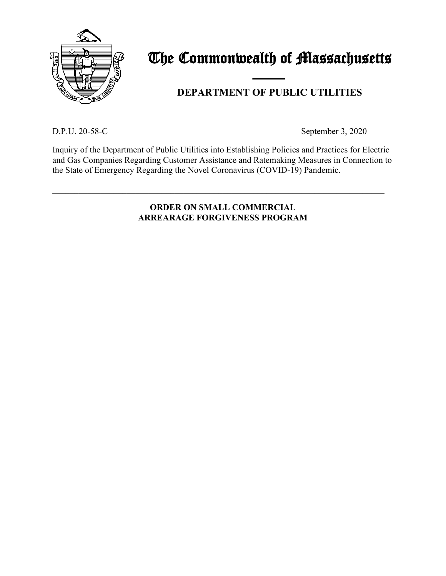

# The Commonwealth of Massachusetts

## and the contract of the contract of **DEPARTMENT OF PUBLIC UTILITIES**

D.P.U. 20-58-C September 3, 2020

Inquiry of the Department of Public Utilities into Establishing Policies and Practices for Electric and Gas Companies Regarding Customer Assistance and Ratemaking Measures in Connection to the State of Emergency Regarding the Novel Coronavirus (COVID-19) Pandemic.

\_\_\_\_\_\_\_\_\_\_\_\_\_\_\_\_\_\_\_\_\_\_\_\_\_\_\_\_\_\_\_\_\_\_\_\_\_\_\_\_\_\_\_\_\_\_\_\_\_\_\_\_\_\_\_\_\_\_\_\_\_\_\_\_\_\_\_\_\_\_\_\_\_\_\_\_

#### **ORDER ON SMALL COMMERCIAL ARREARAGE FORGIVENESS PROGRAM**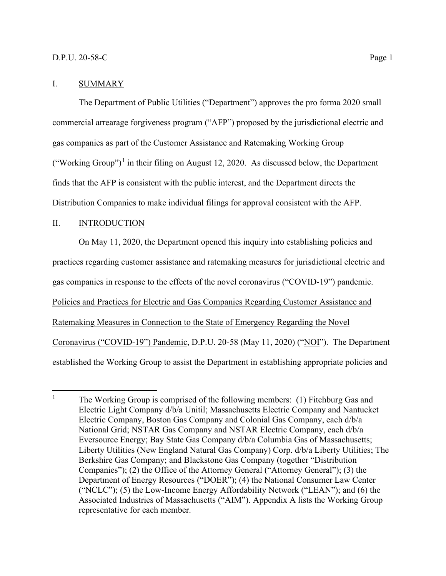#### I. SUMMARY

The Department of Public Utilities ("Department") approves the pro forma 2020 small commercial arrearage forgiveness program ("AFP") proposed by the jurisdictional electric and gas companies as part of the Customer Assistance and Ratemaking Working Group ("Working Group")<sup>[1](#page-1-0)</sup> in their filing on August 12, 2020. As discussed below, the Department finds that the AFP is consistent with the public interest, and the Department directs the Distribution Companies to make individual filings for approval consistent with the AFP.

#### II. INTRODUCTION

On May 11, 2020, the Department opened this inquiry into establishing policies and practices regarding customer assistance and ratemaking measures for jurisdictional electric and gas companies in response to the effects of the novel coronavirus ("COVID-19") pandemic. Policies and Practices for Electric and Gas Companies Regarding Customer Assistance and Ratemaking Measures in Connection to the State of Emergency Regarding the Novel Coronavirus ("COVID-19") Pandemic, D.P.U. 20-58 (May 11, 2020) ("NOI"). The Department established the Working Group to assist the Department in establishing appropriate policies and

<span id="page-1-0"></span><sup>&</sup>lt;sup>1</sup> The Working Group is comprised of the following members: (1) Fitchburg Gas and Electric Light Company d/b/a Unitil; Massachusetts Electric Company and Nantucket Electric Company, Boston Gas Company and Colonial Gas Company, each d/b/a National Grid; NSTAR Gas Company and NSTAR Electric Company, each d/b/a Eversource Energy; Bay State Gas Company d/b/a Columbia Gas of Massachusetts; Liberty Utilities (New England Natural Gas Company) Corp. d/b/a Liberty Utilities; The Berkshire Gas Company; and Blackstone Gas Company (together "Distribution Companies"); (2) the Office of the Attorney General ("Attorney General"); (3) the Department of Energy Resources ("DOER"); (4) the National Consumer Law Center ("NCLC"); (5) the Low-Income Energy Affordability Network ("LEAN"); and (6) the Associated Industries of Massachusetts ("AIM"). Appendix A lists the Working Group representative for each member.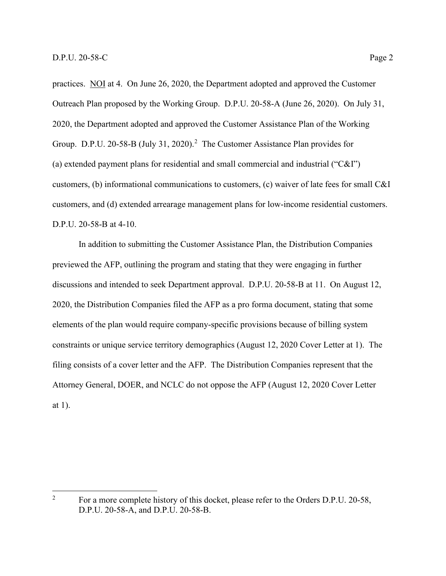practices. NOI at 4. On June 26, 2020, the Department adopted and approved the Customer Outreach Plan proposed by the Working Group. D.P.U. 20-58-A (June 26, 2020). On July 31, 2020, the Department adopted and approved the Customer Assistance Plan of the Working Group. D.P.U. [2](#page-2-0)0-58-B (July 31, 2020).<sup>2</sup> The Customer Assistance Plan provides for (a) extended payment plans for residential and small commercial and industrial ("C&I") customers, (b) informational communications to customers, (c) waiver of late fees for small C&I customers, and (d) extended arrearage management plans for low-income residential customers. D.P.U. 20-58-B at 4-10.

In addition to submitting the Customer Assistance Plan, the Distribution Companies previewed the AFP, outlining the program and stating that they were engaging in further discussions and intended to seek Department approval. D.P.U. 20-58-B at 11. On August 12, 2020, the Distribution Companies filed the AFP as a pro forma document, stating that some elements of the plan would require company-specific provisions because of billing system constraints or unique service territory demographics (August 12, 2020 Cover Letter at 1). The filing consists of a cover letter and the AFP. The Distribution Companies represent that the Attorney General, DOER, and NCLC do not oppose the AFP (August 12, 2020 Cover Letter at 1).

<span id="page-2-0"></span><sup>&</sup>lt;sup>2</sup> For a more complete history of this docket, please refer to the Orders D.P.U. 20-58, D.P.U. 20-58-A, and D.P.U. 20-58-B.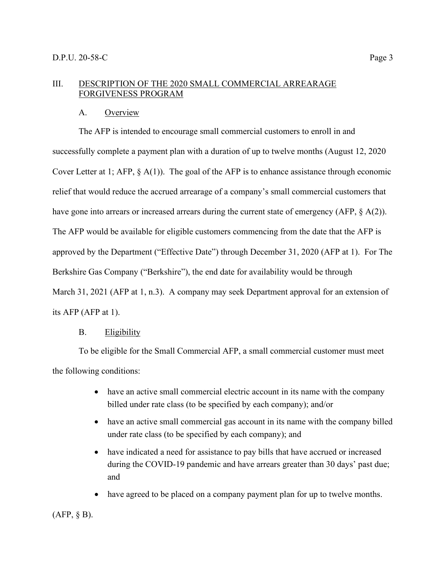#### III. DESCRIPTION OF THE 2020 SMALL COMMERCIAL ARREARAGE FORGIVENESS PROGRAM

#### A. Overview

The AFP is intended to encourage small commercial customers to enroll in and successfully complete a payment plan with a duration of up to twelve months (August 12, 2020 Cover Letter at 1; AFP, § A(1)). The goal of the AFP is to enhance assistance through economic relief that would reduce the accrued arrearage of a company's small commercial customers that have gone into arrears or increased arrears during the current state of emergency (AFP, § A(2)). The AFP would be available for eligible customers commencing from the date that the AFP is approved by the Department ("Effective Date") through December 31, 2020 (AFP at 1). For The Berkshire Gas Company ("Berkshire"), the end date for availability would be through March 31, 2021 (AFP at 1, n.3). A company may seek Department approval for an extension of its AFP (AFP at 1).

#### B. Eligibility

To be eligible for the Small Commercial AFP, a small commercial customer must meet the following conditions:

- have an active small commercial electric account in its name with the company billed under rate class (to be specified by each company); and/or
- have an active small commercial gas account in its name with the company billed under rate class (to be specified by each company); and
- have indicated a need for assistance to pay bills that have accrued or increased during the COVID-19 pandemic and have arrears greater than 30 days' past due; and
- have agreed to be placed on a company payment plan for up to twelve months.

#### (AFP, § B).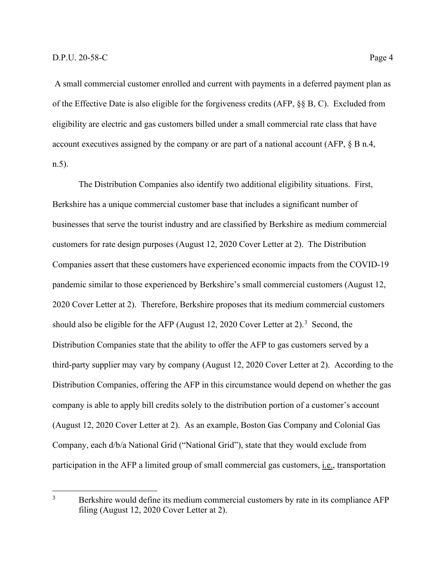A small commercial customer enrolled and current with payments in a deferred payment plan as of the Effective Date is also eligible for the forgiveness credits (AFP, §§ B, C). Excluded from eligibility are electric and gas customers billed under a small commercial rate class that have account executives assigned by the company or are part of a national account (AFP, § B n.4, n.5).

The Distribution Companies also identify two additional eligibility situations. First, Berkshire has a unique commercial customer base that includes a significant number of businesses that serve the tourist industry and are classified by Berkshire as medium commercial customers for rate design purposes (August 12, 2020 Cover Letter at 2). The Distribution Companies assert that these customers have experienced economic impacts from the COVID-19 pandemic similar to those experienced by Berkshire's small commercial customers (August 12, 2020 Cover Letter at 2). Therefore, Berkshire proposes that its medium commercial customers should also be eligible for the AFP (August 12, 2020 Cover Letter at 2).<sup>[3](#page-4-0)</sup> Second, the Distribution Companies state that the ability to offer the AFP to gas customers served by a third-party supplier may vary by company (August 12, 2020 Cover Letter at 2). According to the Distribution Companies, offering the AFP in this circumstance would depend on whether the gas company is able to apply bill credits solely to the distribution portion of a customer's account (August 12, 2020 Cover Letter at 2). As an example, Boston Gas Company and Colonial Gas Company, each d/b/a National Grid ("National Grid"), state that they would exclude from participation in the AFP a limited group of small commercial gas customers, *i.e.*, transportation

<span id="page-4-0"></span><sup>&</sup>lt;sup>3</sup> Berkshire would define its medium commercial customers by rate in its compliance AFP filing (August 12, 2020 Cover Letter at 2).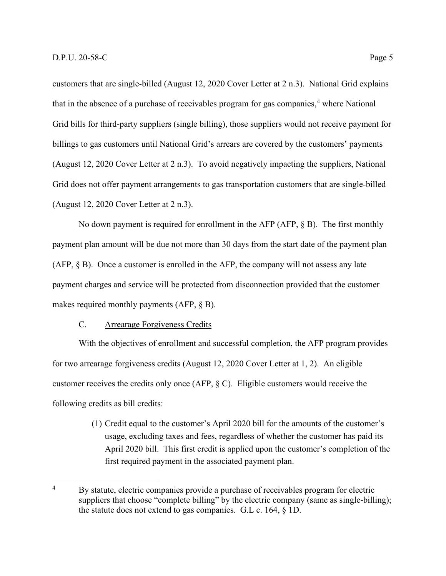customers that are single-billed (August 12, 2020 Cover Letter at 2 n.3). National Grid explains that in the absence of a purchase of receivables program for gas companies, $4$  where National Grid bills for third-party suppliers (single billing), those suppliers would not receive payment for billings to gas customers until National Grid's arrears are covered by the customers' payments (August 12, 2020 Cover Letter at 2 n.3). To avoid negatively impacting the suppliers, National Grid does not offer payment arrangements to gas transportation customers that are single-billed (August 12, 2020 Cover Letter at 2 n.3).

No down payment is required for enrollment in the AFP (AFP, § B). The first monthly payment plan amount will be due not more than 30 days from the start date of the payment plan (AFP, § B). Once a customer is enrolled in the AFP, the company will not assess any late payment charges and service will be protected from disconnection provided that the customer makes required monthly payments (AFP, § B).

#### C. Arrearage Forgiveness Credits

With the objectives of enrollment and successful completion, the AFP program provides for two arrearage forgiveness credits (August 12, 2020 Cover Letter at 1, 2). An eligible customer receives the credits only once (AFP, § C). Eligible customers would receive the following credits as bill credits:

> (1) Credit equal to the customer's April 2020 bill for the amounts of the customer's usage, excluding taxes and fees, regardless of whether the customer has paid its April 2020 bill. This first credit is applied upon the customer's completion of the first required payment in the associated payment plan.

<span id="page-5-0"></span><sup>&</sup>lt;sup>4</sup> By statute, electric companies provide a purchase of receivables program for electric suppliers that choose "complete billing" by the electric company (same as single-billing); the statute does not extend to gas companies. G.L c. 164, § 1D.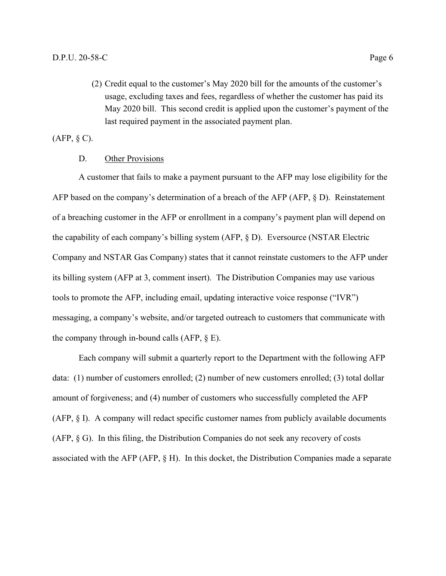(2) Credit equal to the customer's May 2020 bill for the amounts of the customer's usage, excluding taxes and fees, regardless of whether the customer has paid its May 2020 bill. This second credit is applied upon the customer's payment of the last required payment in the associated payment plan.

 $(AFP, § C)$ .

#### D. Other Provisions

A customer that fails to make a payment pursuant to the AFP may lose eligibility for the AFP based on the company's determination of a breach of the AFP (AFP, § D). Reinstatement of a breaching customer in the AFP or enrollment in a company's payment plan will depend on the capability of each company's billing system (AFP, § D). Eversource (NSTAR Electric Company and NSTAR Gas Company) states that it cannot reinstate customers to the AFP under its billing system (AFP at 3, comment insert). The Distribution Companies may use various tools to promote the AFP, including email, updating interactive voice response ("IVR") messaging, a company's website, and/or targeted outreach to customers that communicate with the company through in-bound calls  $(AFP, \S E)$ .

Each company will submit a quarterly report to the Department with the following AFP data: (1) number of customers enrolled; (2) number of new customers enrolled; (3) total dollar amount of forgiveness; and (4) number of customers who successfully completed the AFP (AFP, § I). A company will redact specific customer names from publicly available documents (AFP, § G). In this filing, the Distribution Companies do not seek any recovery of costs associated with the AFP (AFP, § H). In this docket, the Distribution Companies made a separate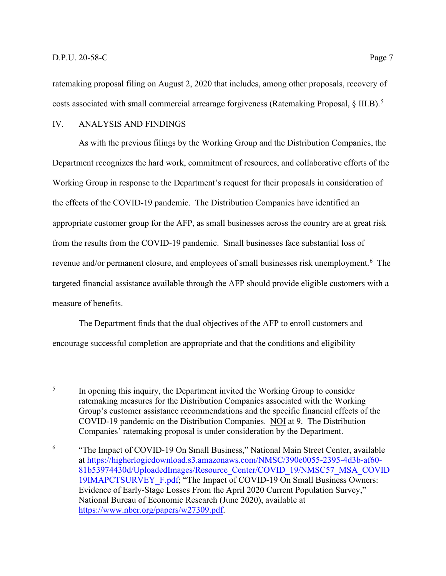ratemaking proposal filing on August 2, 2020 that includes, among other proposals, recovery of costs associated with small commercial arrearage forgiveness (Ratemaking Proposal, § III.B).<sup>[5](#page-7-0)</sup>

#### IV. ANALYSIS AND FINDINGS

As with the previous filings by the Working Group and the Distribution Companies, the Department recognizes the hard work, commitment of resources, and collaborative efforts of the Working Group in response to the Department's request for their proposals in consideration of the effects of the COVID-19 pandemic. The Distribution Companies have identified an appropriate customer group for the AFP, as small businesses across the country are at great risk from the results from the COVID-19 pandemic. Small businesses face substantial loss of revenue and/or permanent closure, and employees of small businesses risk unemployment.<sup>[6](#page-7-1)</sup> The targeted financial assistance available through the AFP should provide eligible customers with a measure of benefits.

The Department finds that the dual objectives of the AFP to enroll customers and encourage successful completion are appropriate and that the conditions and eligibility

<span id="page-7-0"></span><sup>&</sup>lt;sup>5</sup> In opening this inquiry, the Department invited the Working Group to consider ratemaking measures for the Distribution Companies associated with the Working Group's customer assistance recommendations and the specific financial effects of the COVID-19 pandemic on the Distribution Companies. NOI at 9. The Distribution Companies' ratemaking proposal is under consideration by the Department.

<span id="page-7-1"></span><sup>6</sup> "The Impact of COVID-19 On Small Business," National Main Street Center, available at [https://higherlogicdownload.s3.amazonaws.com/NMSC/390e0055-2395-4d3b-af60-](https://higherlogicdownload.s3.amazonaws.com/NMSC/390e0055-2395-4d3b-af60-81b53974430d/UploadedImages/Resource_Center/COVID_19/NMSC57_MSA_COVID19IMAPCTSURVEY_F.pdf) [81b53974430d/UploadedImages/Resource\\_Center/COVID\\_19/NMSC57\\_MSA\\_COVID](https://higherlogicdownload.s3.amazonaws.com/NMSC/390e0055-2395-4d3b-af60-81b53974430d/UploadedImages/Resource_Center/COVID_19/NMSC57_MSA_COVID19IMAPCTSURVEY_F.pdf) 19IMAPCTSURVEY F.pdf; "The Impact of COVID-19 On Small Business Owners: Evidence of Early-Stage Losses From the April 2020 Current Population Survey," National Bureau of Economic Research (June 2020), available at [https://www.nber.org/papers/w27309.pdf.](https://www.nber.org/papers/w27309.pdf)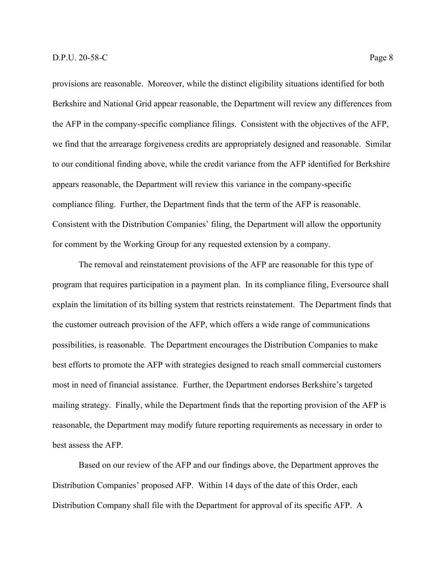provisions are reasonable. Moreover, while the distinct eligibility situations identified for both Berkshire and National Grid appear reasonable, the Department will review any differences from the AFP in the company-specific compliance filings. Consistent with the objectives of the AFP, we find that the arrearage forgiveness credits are appropriately designed and reasonable. Similar to our conditional finding above, while the credit variance from the AFP identified for Berkshire appears reasonable, the Department will review this variance in the company-specific compliance filing. Further, the Department finds that the term of the AFP is reasonable. Consistent with the Distribution Companies' filing, the Department will allow the opportunity for comment by the Working Group for any requested extension by a company.

The removal and reinstatement provisions of the AFP are reasonable for this type of program that requires participation in a payment plan. In its compliance filing, Eversource shall explain the limitation of its billing system that restricts reinstatement. The Department finds that the customer outreach provision of the AFP, which offers a wide range of communications possibilities, is reasonable. The Department encourages the Distribution Companies to make best efforts to promote the AFP with strategies designed to reach small commercial customers most in need of financial assistance. Further, the Department endorses Berkshire's targeted mailing strategy. Finally, while the Department finds that the reporting provision of the AFP is reasonable, the Department may modify future reporting requirements as necessary in order to best assess the AFP.

Based on our review of the AFP and our findings above, the Department approves the Distribution Companies' proposed AFP. Within 14 days of the date of this Order, each Distribution Company shall file with the Department for approval of its specific AFP. A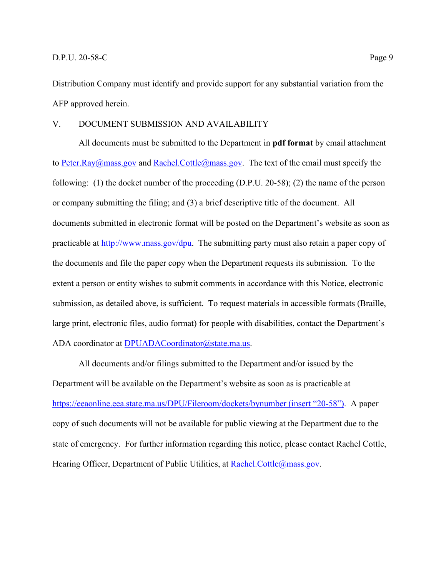Distribution Company must identify and provide support for any substantial variation from the AFP approved herein.

#### V. DOCUMENT SUBMISSION AND AVAILABILITY

All documents must be submitted to the Department in **pdf format** by email attachment to [Peter.Ray@mass.gov](mailto:Peter.Ray@mass.gov) and [Rachel.Cottle@mass.gov.](mailto:Rachel.Cottle@mass.gov) The text of the email must specify the following: (1) the docket number of the proceeding (D.P.U. 20-58); (2) the name of the person or company submitting the filing; and (3) a brief descriptive title of the document. All documents submitted in electronic format will be posted on the Department's website as soon as practicable at [http://www.mass.gov/dpu.](http://www.mass.gov/dpu) The submitting party must also retain a paper copy of the documents and file the paper copy when the Department requests its submission. To the extent a person or entity wishes to submit comments in accordance with this Notice, electronic submission, as detailed above, is sufficient. To request materials in accessible formats (Braille, large print, electronic files, audio format) for people with disabilities, contact the Department's ADA coordinator at [DPUADACoordinator@state.ma.us.](mailto:DPUADACoordinator@state.ma.us)

All documents and/or filings submitted to the Department and/or issued by the Department will be available on the Department's website as soon as is practicable at <https://eeaonline.eea.state.ma.us/DPU/Fileroom/dockets/bynumber> (insert "20-58"). A paper copy of such documents will not be available for public viewing at the Department due to the state of emergency. For further information regarding this notice, please contact Rachel Cottle, Hearing Officer, Department of Public Utilities, at [Rachel.Cottle@mass.gov.](mailto:Rachel.Cottle@mass.gov)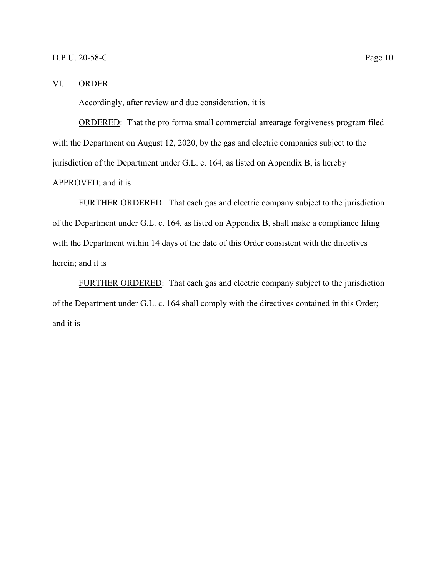#### VI. ORDER

Accordingly, after review and due consideration, it is

ORDERED: That the pro forma small commercial arrearage forgiveness program filed with the Department on August 12, 2020, by the gas and electric companies subject to the jurisdiction of the Department under G.L. c. 164, as listed on Appendix B, is hereby APPROVED; and it is

FURTHER ORDERED: That each gas and electric company subject to the jurisdiction of the Department under G.L. c. 164, as listed on Appendix B, shall make a compliance filing with the Department within 14 days of the date of this Order consistent with the directives herein; and it is

FURTHER ORDERED: That each gas and electric company subject to the jurisdiction of the Department under G.L. c. 164 shall comply with the directives contained in this Order; and it is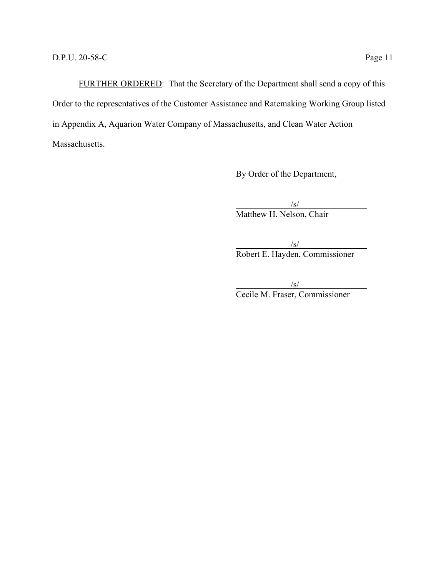FURTHER ORDERED: That the Secretary of the Department shall send a copy of this Order to the representatives of the Customer Assistance and Ratemaking Working Group listed in Appendix A, Aquarion Water Company of Massachusetts, and Clean Water Action Massachusetts.

By Order of the Department,

 $\sqrt{s/}$ Matthew H. Nelson, Chair

 $\sqrt{s/}$ Robert E. Hayden, Commissioner

 $\sqrt{s/}$ Cecile M. Fraser, Commissioner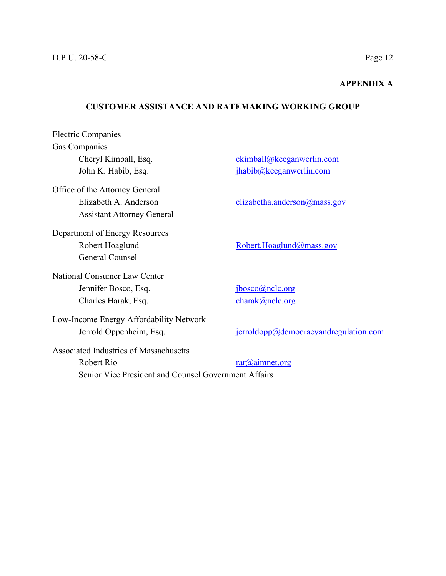#### **APPENDIX A**

#### **CUSTOMER ASSISTANCE AND RATEMAKING WORKING GROUP**

Electric Companies Gas Companies Cheryl Kimball, Esq. [ckimball@keeganwerlin.com](mailto:ckimball@keeganwerlin.com) John K. Habib, Esq. [jhabib@keeganwerlin.com](mailto:jhabib@keeganwerlin.com) Office of the Attorney General Elizabeth A. Anderson [elizabetha.anderson@mass.gov](mailto:elizabetha.anderson@mass.gov) Assistant Attorney General Department of Energy Resources Robert Hoaglund [Robert.Hoaglund@mass.gov](mailto:Robert.Hoaglund@mass.gov) General Counsel National Consumer Law Center Jennifer Bosco, Esq. [jbosco@nclc.org](mailto:jbosco@nclc.org) Charles Harak, Esq. [charak@nclc.org](mailto:charak@nclc.org) Low-Income Energy Affordability Network Jerrold Oppenheim, Esq. [jerroldopp@democracyandregulation.com](mailto:jerroldopp@democracyandregulation.com) Associated Industries of Massachusetts

Robert Rio [rar@aimnet.org](mailto:rar@aimnet.org) Senior Vice President and Counsel Government Affairs